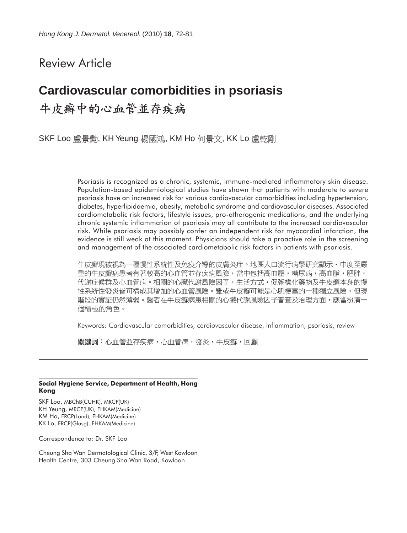# Review Article

# **Cardiovascular comorbidities in psoriasis** 牛皮癣中的心血管並存疾病

SKF Loo 盧景勳, KH Yeung 楊國鴻, KM Ho 何景文, KK Lo 盧乾剛

Psoriasis is recognized as a chronic, systemic, immune-mediated inflammatory skin disease. Population-based epidemiological studies have shown that patients with moderate to severe psoriasis have an increased risk for various cardiovascular comorbidities including hypertension, diabetes, hyperlipidaemia, obesity, metabolic syndrome and cardiovascular diseases. Associated cardiometabolic risk factors, lifestyle issues, pro-atherogenic medications, and the underlying chronic systemic inflammation of psoriasis may all contribute to the increased cardiovascular risk. While psoriasis may possibly confer an independent risk for myocardial infarction, the evidence is still weak at this moment. Physicians should take a proactive role in the screening and management of the associated cardiometabolic risk factors in patients with psoriasis.

牛皮癬現被視為一種慢性系統性及免疫介導的皮膚炎症。地區人口流行病學研究顯示,中度至嚴 重的牛皮癬病患者有著較高的心血管並存疾病風險,當中包括高血壓,糖尿病,高血脂,肥胖, 代謝症候群及心血管病。相關的心臟代謝風險因子,生活方式,促粥樣化藥物及牛皮癬本身的慢 性系統性發炎皆可構成其增加的心血管風險。雖或牛皮癬可能是心肌梗塞的一種獨立風險,但現 階段的實証仍然薄弱。醫者在牛皮癬病患相關的心臟代謝風險因子普查及治理方面,應當扮演一 個積極的角色。

Keywords: Cardiovascular comorbidities, cardiovascular disease, inflammation, psoriasis, review

關鍵詞:心血管並存疾病,心血管病,發炎,牛皮癬,回顧

#### **Social Hygiene Service, Department of Health, Hong Kong**

SKF Loo, MBChB(CUHK), MRCP(UK) KH Yeung, MRCP(UK), FHKAM(Medicine) KM Ho, FRCP(Lond), FHKAM(Medicine) KK Lo, FRCP(Glasg), FHKAM(Medicine)

Correspondence to: Dr. SKF Loo

Cheung Sha Wan Dermatological Clinic, 3/F, West Kowloon Health Centre, 303 Cheung Sha Wan Road, Kowloon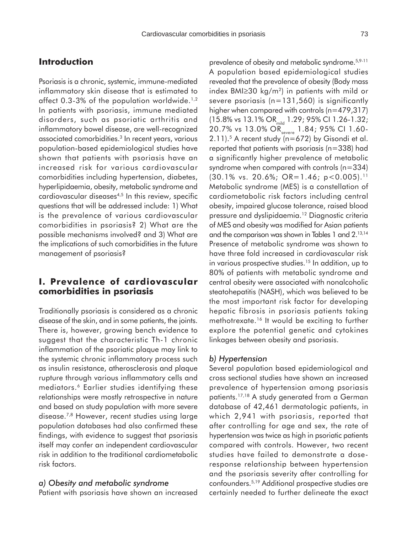# **Introduction**

Psoriasis is a chronic, systemic, immune-mediated inflammatory skin disease that is estimated to affect 0.3-3% of the population worldwide.<sup>1,2</sup> In patients with psoriasis, immune mediated disorders, such as psoriatic arthritis and inflammatory bowel disease, are well-recognized associated comorbidities.3 In recent years, various population-based epidemiological studies have shown that patients with psoriasis have an increased risk for various cardiovascular comorbidities including hypertension, diabetes, hyperlipidaemia, obesity, metabolic syndrome and cardiovascular diseases<sup>4,5</sup> In this review, specific questions that will be addressed include: 1) What is the prevalence of various cardiovascular comorbidities in psoriasis? 2) What are the possible mechanisms involved? and 3) What are the implications of such comorbidities in the future management of psoriasis?

# **I. Prevalence of cardiovascular comorbidities in psoriasis**

Traditionally psoriasis is considered as a chronic disease of the skin, and in some patients, the joints. There is, however, growing bench evidence to suggest that the characteristic Th-1 chronic inflammation of the psoriatic plaque may link to the systemic chronic inflammatory process such as insulin resistance, atherosclerosis and plaque rupture through various inflammatory cells and mediators.6 Earlier studies identifying these relationships were mostly retrospective in nature and based on study population with more severe disease.7,8 However, recent studies using large population databases had also confirmed these findings, with evidence to suggest that psoriasis itself may confer an independent cardiovascular risk in addition to the traditional cardiometabolic risk factors.

### *a) Obesity and metabolic syndrome*

Patient with psoriasis have shown an increased

prevalence of obesity and metabolic syndrome.5,9-11 A population based epidemiological studies revealed that the prevalence of obesity (Body mass index BMI≥30 kg/m<sup>2</sup>) in patients with mild or severe psoriasis ( $n=131,560$ ) is significantly higher when compared with controls (n=479,317) (15.8% vs 13.1% OR<sub>mid</sub> 1.29; 95% CI 1.26-1.32; 20.7% vs 13.0% OR<sub>severe</sub> 1.84; 95% CI 1.60- $2.11$ ).<sup>5</sup> A recent study (n=672) by Gisondi et al. reported that patients with psoriasis (n=338) had a significantly higher prevalence of metabolic syndrome when compared with controls (n=334)  $(30.1\% \text{ vs. } 20.6\%; \text{ OR} = 1.46; \text{ p} < 0.005).$ <sup>11</sup> Metabolic syndrome (MES) is a constellation of cardiometabolic risk factors including central obesity, impaired glucose tolerance, raised blood pressure and dyslipidaemia.12 Diagnostic criteria of MES and obesity was modified for Asian patients and the comparison was shown in Tables 1 and 2.13,14 Presence of metabolic syndrome was shown to have three fold increased in cardiovascular risk in various prospective studies.15 In addition, up to 80% of patients with metabolic syndrome and central obesity were associated with nonalcoholic steatohepatitis (NASH), which was believed to be the most important risk factor for developing hepatic fibrosis in psoriasis patients taking methotrexate.16 It would be exciting to further explore the potential genetic and cytokines linkages between obesity and psoriasis.

#### *b) Hypertension*

Several population based epidemiological and cross sectional studies have shown an increased prevalence of hypertension among psoriasis patients.17,18 A study generated from a German database of 42,461 dermatologic patients, in which 2,941 with psoriasis, reported that after controlling for age and sex, the rate of hypertension was twice as high in psoriatic patients compared with controls. However, two recent studies have failed to demonstrate a doseresponse relationship between hypertension and the psoriasis severity after controlling for confounders.5,19 Additional prospective studies are certainly needed to further delineate the exact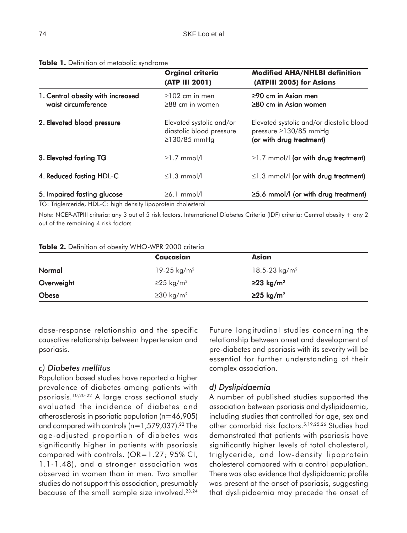|                                                                                                                    | <b>Orginal criteria</b><br>(ATP III 2001)                                  | <b>Modified AHA/NHLBI definition</b><br>(ATPIII 2005) for Asians                                    |
|--------------------------------------------------------------------------------------------------------------------|----------------------------------------------------------------------------|-----------------------------------------------------------------------------------------------------|
| 1. Central obesity with increased<br>waist circumference                                                           | $\geq$ 102 cm in men<br>$\geq$ 88 cm in women                              | $\geq$ 90 cm in Asian men<br>$\geq$ 80 cm in Asian women                                            |
| 2. Elevated blood pressure                                                                                         | Elevated systolic and/or<br>diastolic blood pressure<br>$\geq$ 130/85 mmHg | Elevated systolic and/or diastolic blood<br>pressure $\geq$ 130/85 mmHg<br>(or with drug treatment) |
| 3. Elevated fasting TG                                                                                             | $\geq$ 1.7 mmol/l                                                          | $\geq$ 1.7 mmol/l (or with drug treatment)                                                          |
| 4. Reduced fasting HDL-C                                                                                           | $\leq$ 1.3 mmol/l                                                          | $\leq$ 1.3 mmol/l (or with drug treatment)                                                          |
| 5. Impaired fasting glucose<br>$\tau \cap \tau$ . If $\tau \cap \tau$ is the $\tau \cap \tau$<br>$\cdot$ . $\cdot$ | $\geq 6.1$ mmol/l<br>.                                                     | $\geq$ 5.6 mmol/l (or with drug treatment)                                                          |

#### **Table 1.** Definition of metabolic syndrome

TG: Triglerceride, HDL-C: high density lipoprotein cholesterol

Note: NCEP-ATPIII criteria: any 3 out of 5 risk factors. International Diabetes Criteria (IDF) criteria: Central obesity + any 2 out of the remaining 4 risk factors

#### **Table 2.** Definition of obesity WHO-WPR 2000 criteria

|            | Caucasian                   | Asian                     |  |
|------------|-----------------------------|---------------------------|--|
| Normal     | 19-25 kg/m <sup>2</sup>     | 18.5-23 kg/m <sup>2</sup> |  |
| Overweight | $\geq$ 25 kg/m <sup>2</sup> | $≥23$ kg/m <sup>2</sup>   |  |
| Obese      | $\geq$ 30 kg/m <sup>2</sup> | $≥25$ kg/m <sup>2</sup>   |  |

dose-response relationship and the specific causative relationship between hypertension and psoriasis.

#### *c) Diabetes mellitus*

Population based studies have reported a higher prevalence of diabetes among patients with psoriasis.10,20-22 A large cross sectional study evaluated the incidence of diabetes and atherosclerosis in psoriatic population (n=46,905) and compared with controls ( $n=1,579,037$ ).<sup>22</sup> The age-adjusted proportion of diabetes was significantly higher in patients with psoriasis compared with controls. (OR=1.27; 95% CI, 1.1-1.48), and a stronger association was observed in women than in men. Two smaller studies do not support this association, presumably because of the small sample size involved.<sup>23,24</sup>

Future longitudinal studies concerning the relationship between onset and development of pre-diabetes and psoriasis with its severity will be essential for further understanding of their complex association.

#### *d) Dyslipidaemia*

A number of published studies supported the association between psoriasis and dyslipidaemia, including studies that controlled for age, sex and other comorbid risk factors.5,19,25,26 Studies had demonstrated that patients with psoriasis have significantly higher levels of total cholesterol, triglyceride, and low-density lipoprotein cholesterol compared with a control population. There was also evidence that dyslipidaemic profile was present at the onset of psoriasis, suggesting that dyslipidaemia may precede the onset of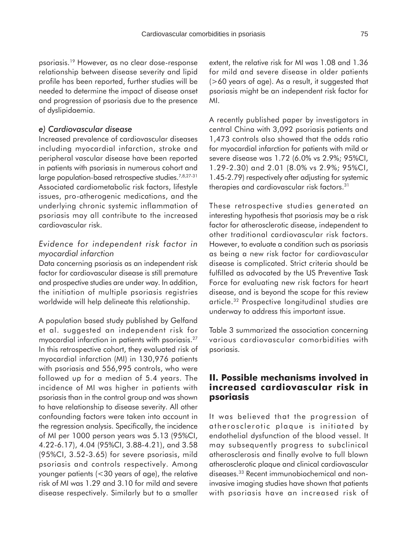psoriasis.19 However, as no clear dose-response relationship between disease severity and lipid profile has been reported, further studies will be needed to determine the impact of disease onset and progression of psoriasis due to the presence of dyslipidaemia.

#### *e) Cardiovascular disease*

Increased prevalence of cardiovascular diseases including myocardial infarction, stroke and peripheral vascular disease have been reported in patients with psoriasis in numerous cohort and large population-based retrospective studies.<sup>7,8,27-31</sup> Associated cardiometabolic risk factors, lifestyle issues, pro-atherogenic medications, and the underlying chronic systemic inflammation of psoriasis may all contribute to the increased cardiovascular risk.

### *Evidence for independent risk factor in myocardial infarction*

Data concerning psoriasis as an independent risk factor for cardiovascular disease is still premature and prospective studies are under way. In addition, the initiation of multiple psoriasis registries worldwide will help delineate this relationship.

A population based study published by Gelfand et al. suggested an independent risk for myocardial infarction in patients with psoriasis.27 In this retrospective cohort, they evaluated risk of myocardial infarction (MI) in 130,976 patients with psoriasis and 556,995 controls, who were followed up for a median of 5.4 years. The incidence of MI was higher in patients with psoriasis than in the control group and was shown to have relationship to disease severity. All other confounding factors were taken into account in the regression analysis. Specifically, the incidence of MI per 1000 person years was 5.13 (95%CI, 4.22-6.17), 4.04 (95%CI, 3.88-4.21), and 3.58 (95%CI, 3.52-3.65) for severe psoriasis, mild psoriasis and controls respectively. Among younger patients (<30 years of age), the relative risk of MI was 1.29 and 3.10 for mild and severe disease respectively. Similarly but to a smaller extent, the relative risk for MI was 1.08 and 1.36 for mild and severe disease in older patients (>60 years of age). As a result, it suggested that psoriasis might be an independent risk factor for MI.

A recently published paper by investigators in central China with 3,092 psoriasis patients and 1,473 controls also showed that the odds ratio for myocardial infarction for patients with mild or severe disease was 1.72 (6.0% vs 2.9%; 95%CI, 1.29-2.30) and 2.01 (8.0% vs 2.9%; 95%CI, 1.45-2.79) respectively after adjusting for systemic therapies and cardiovascular risk factors.31

These retrospective studies generated an interesting hypothesis that psoriasis may be a risk factor for atherosclerotic disease, independent to other traditional cardiovascular risk factors. However, to evaluate a condition such as psoriasis as being a new risk factor for cardiovascular disease is complicated. Strict criteria should be fulfilled as advocated by the US Preventive Task Force for evaluating new risk factors for heart disease, and is beyond the scope for this review article.32 Prospective longitudinal studies are underway to address this important issue.

Table 3 summarized the association concerning various cardiovascular comorbidities with psoriasis.

# **II. Possible mechanisms involved in increased cardiovascular risk in psoriasis**

It was believed that the progression of atherosclerotic plaque is initiated by endothelial dysfunction of the blood vessel. It may subsequently progress to subclinical atherosclerosis and finally evolve to full blown atherosclerotic plaque and clinical cardiovascular diseases.33 Recent immunobiochemical and noninvasive imaging studies have shown that patients with psoriasis have an increased risk of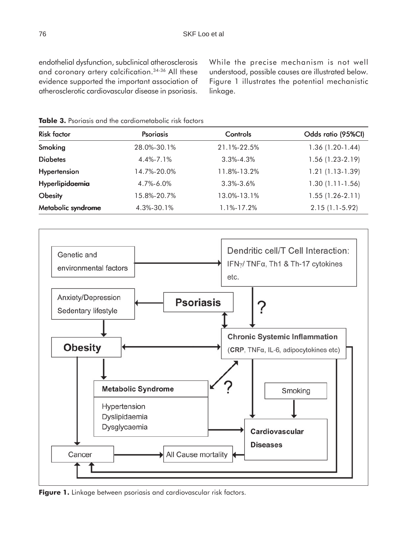endothelial dysfunction, subclinical atherosclerosis and coronary artery calcification.34-36 All these evidence supported the important association of atherosclerotic cardiovascular disease in psoriasis.

While the precise mechanism is not well understood, possible causes are illustrated below. Figure 1 illustrates the potential mechanistic linkage.

Risk factor Psoriasis Controls Odds ratio (95%CI) **Smoking** 28.0%-30.1% 21.1%-22.5% 1.36 (1.20-1.44) **Diabetes** 4.4%-7.1% 3.3%-4.3% 1.56 (1.23-2.19) **Hypertension** 14.7%-20.0% 11.8%-13.2% 1.21 (1.13-1.39) Hyperlipidaemia 4.7%-6.0% 3.3%-3.6% 1.30 (1.11-1.56) **Obesity** 15.8%-20.7% 13.0%-13.1% 1.55 (1.26-2.11) **Metabolic syndrome** 4.3%-30.1% 1.1%-17.2% 2.15 (1.1-5.92)

**Table 3.** Psoriasis and the cardiometabolic risk factors



**Figure 1.** Linkage between psoriasis and cardiovascular risk factors.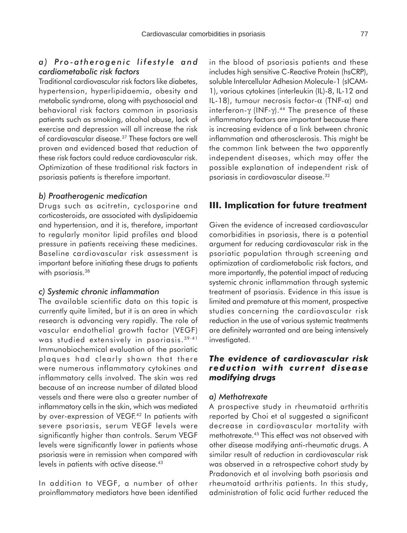## *a) Pro-atherogenic lifestyle and cardiometabolic risk factors*

Traditional cardiovascular risk factors like diabetes, hypertension, hyperlipidaemia, obesity and metabolic syndrome, along with psychosocial and behavioral risk factors common in psoriasis patients such as smoking, alcohol abuse, lack of exercise and depression will all increase the risk of cardiovascular disease.37 These factors are well proven and evidenced based that reduction of these risk factors could reduce cardiovascular risk. Optimization of these traditional risk factors in psoriasis patients is therefore important.

#### *b) Proatherogenic medication*

Drugs such as acitretin, cyclosporine and corticosteroids, are associated with dyslipidaemia and hypertension, and it is, therefore, important to regularly monitor lipid profiles and blood pressure in patients receiving these medicines. Baseline cardiovascular risk assessment is important before initiating these drugs to patients with psoriasis.<sup>38</sup>

#### *c) Systemic chronic inflammation*

The available scientific data on this topic is currently quite limited, but it is an area in which research is advancing very rapidly. The role of vascular endothelial growth factor (VEGF) was studied extensively in psoriasis. 39-41 Immunobiochemical evaluation of the psoriatic plaques had clearly shown that there were numerous inflammatory cytokines and inflammatory cells involved. The skin was red because of an increase number of dilated blood vessels and there were also a greater number of inflammatory cells in the skin, which was mediated by over-expression of VEGF.<sup>42</sup> In patients with severe psoriasis, serum VEGF levels were significantly higher than controls. Serum VEGF levels were significantly lower in patients whose psoriasis were in remission when compared with levels in patients with active disease.<sup>43</sup>

In addition to VEGF, a number of other proinflammatory mediators have been identified

in the blood of psoriasis patients and these includes high sensitive C-Reactive Protein (hsCRP), soluble Intercellular Adhesion Molecule-1 (sICAM-1), various cytokines (interleukin (IL)-8, IL-12 and IL-18), tumour necrosis factor- $\alpha$  (TNF- $\alpha$ ) and interferon-γ (INF-γ).<sup>44</sup> The presence of these inflammatory factors are important because there is increasing evidence of a link between chronic inflammation and atherosclerosis. This might be the common link between the two apparently independent diseases, which may offer the possible explanation of independent risk of psoriasis in cardiovascular disease.32

# **III. Implication for future treatment**

Given the evidence of increased cardiovascular comorbidities in psoriasis, there is a potential argument for reducing cardiovascular risk in the psoriatic population through screening and optimization of cardiometabolic risk factors, and more importantly, the potential impact of reducing systemic chronic inflammation through systemic treatment of psoriasis. Evidence in this issue is limited and premature at this moment, prospective studies concerning the cardiovascular risk reduction in the use of various systemic treatments are definitely warranted and are being intensively investigated.

## *The evidence of cardiovascular risk reduction with current disease modifying drugs*

### *a) Methotrexate*

A prospective study in rheumatoid arthritis reported by Choi et al suggested a significant decrease in cardiovascular mortality with methotrexate.45 This effect was not observed with other disease modifying anti-rheumatic drugs. A similar result of reduction in cardiovascular risk was observed in a retrospective cohort study by Pradanovich et al involving both psoriasis and rheumatoid arthritis patients. In this study, administration of folic acid further reduced the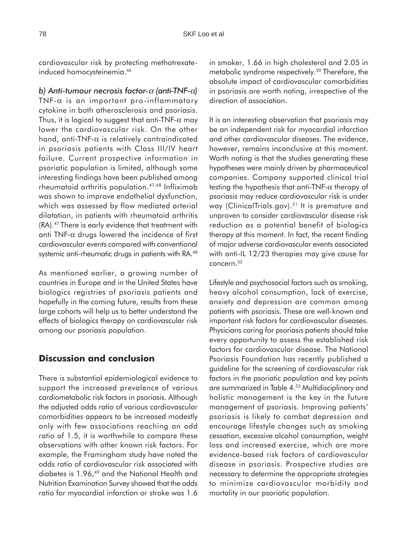cardiovascular risk by protecting methotrexateinduced homocysteinemia.<sup>46</sup>

*b) Anti-tumour necrosis factor-*α *(anti-TNF-*α*)* TNF- $\alpha$  is an important pro-inflammatory cytokine in both atherosclerosis and psoriasis. Thus, it is logical to suggest that anti-TNF- $\alpha$  may lower the cardiovascular risk. On the other hand, anti-TNF- $\alpha$  is relatively contraindicated in psoriasis patients with Class III/IV heart failure. Current prospective information in psoriatic population is limited, although some interesting findings have been published among rheumatoid arthritis population.47,48 Infliximab was shown to improve endothelial dysfunction, which was assessed by flow mediated arterial dilatation, in patients with rheumatoid arthritis (RA).47 There is early evidence that treatment with anti TNF- $\alpha$  drugs lowered the incidence of first cardiovascular events compared with conventional systemic anti-rheumatic drugs in patients with RA.<sup>48</sup>

As mentioned earlier, a growing number of countries in Europe and in the United States have biologics registries of psoriasis patients and hopefully in the coming future, results from these large cohorts will help us to better understand the effects of biologics therapy on cardiovascular risk among our psoriasis population.

# **Discussion and conclusion**

There is substantial epidemiological evidence to support the increased prevalence of various cardiometabolic risk factors in psoriasis. Although the adjusted odds ratio of various cardiovascular comorbidities appears to be increased modestly only with few associations reaching an odd ratio of 1.5, it is worthwhile to compare these observations with other known risk factors. For example, the Framingham study have noted the odds ratio of cardiovascular risk associated with diabetes is 1.96,<sup>49</sup> and the National Health and Nutrition Examination Survey showed that the odds ratio for myocardial infarction or stroke was 1.6

in smoker, 1.66 in high cholesterol and 2.05 in metabolic syndrome respectively.<sup>50</sup> Therefore, the absolute impact of cardiovascular comorbidities in psoriasis are worth noting, irrespective of the direction of association.

It is an interesting observation that psoriasis may be an independent risk for myocardial infarction and other cardiovascular diseases. The evidence, however, remains inconclusive at this moment. Worth noting is that the studies generating these hypotheses were mainly driven by pharmaceutical companies. Company supported clinical trial testing the hypothesis that anti-TNF- $\alpha$  therapy of psoriasis may reduce cardiovascular risk is under way (ClinicalTrials.gov).<sup>51</sup> It is premature and unproven to consider cardiovascular disease risk reduction as a potential benefit of biologics therapy at this moment. In fact, the recent finding of major adverse cardiovascular events associated with anti-IL 12/23 therapies may give cause for concern.<sup>52</sup>

Lifestyle and psychosocial factors such as smoking, heavy alcohol consumption, lack of exercise, anxiety and depression are common among patients with psoriasis. These are well-known and important risk factors for cardiovascular diseases. Physicians caring for psoriasis patients should take every opportunity to assess the established risk factors for cardiovascular disease. The National Psoriasis Foundation has recently published a guideline for the screening of cardiovascular risk factors in the psoriatic population and key points are summarized in Table 4.53 Multidisciplinary and holistic management is the key in the future management of psoriasis. Improving patients' psoriasis is likely to combat depression and encourage lifestyle changes such as smoking cessation, excessive alcohol consumption, weight loss and increased exercise, which are more evidence-based risk factors of cardiovascular disease in psoriasis. Prospective studies are necessary to determine the appropriate strategies to minimize cardiovascular morbidity and mortality in our psoriatic population.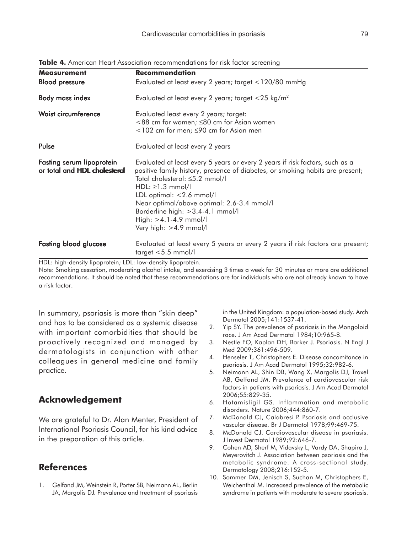| <b>Measurement</b>                                         | <b>Recommendation</b>                                                                                                                                                                                                                                                                                                                                                                          |
|------------------------------------------------------------|------------------------------------------------------------------------------------------------------------------------------------------------------------------------------------------------------------------------------------------------------------------------------------------------------------------------------------------------------------------------------------------------|
| <b>Blood pressure</b>                                      | Evaluated at least every 2 years; target <120/80 mmHg                                                                                                                                                                                                                                                                                                                                          |
| <b>Body mass index</b>                                     | Evaluated at least every 2 years; target $<$ 25 kg/m <sup>2</sup>                                                                                                                                                                                                                                                                                                                              |
| Waist circumference                                        | Evaluated least every 2 years; target:<br><88 cm for women; ≤80 cm for Asian women<br>$<$ 102 cm for men; $\leq$ 90 cm for Asian men                                                                                                                                                                                                                                                           |
| Pulse                                                      | Evaluated at least every 2 years                                                                                                                                                                                                                                                                                                                                                               |
| Fasting serum lipoprotein<br>or total and HDL cholesteroll | Evaluated at least every 5 years or every 2 years if risk factors, such as a<br>positive family history, presence of diabetes, or smoking habits are present;<br>Total cholesterol: ≤5.2 mmol/l<br>$HDL: \geq 1.3$ mmol/l<br>LDL optimal: <2.6 mmol/l<br>Near optimal/above optimal: 2.6-3.4 mmol/l<br>Borderline high: $>3.4-4.1$ mmol/l<br>$High: >4.1-4.9$ mmol/l<br>Very high: >4.9 mmol/l |
| <b>Fasting blood glucose</b>                               | Evaluated at least every 5 years or every 2 years if risk factors are present;<br>target $< 5.5$ mmol/l                                                                                                                                                                                                                                                                                        |

**Table 4.** American Heart Association recommendations for risk factor screening

HDL: high-density lipoprotein; LDL: low-density lipoprotein.

Note: Smoking cessation, moderating alcohol intake, and exercising 3 times a week for 30 minutes or more are additional recommendations. It should be noted that these recommendations are for individuals who are not already known to have a risk factor.

In summary, psoriasis is more than "skin deep" and has to be considered as a systemic disease with important comorbidities that should be proactively recognized and managed by dermatologists in conjunction with other colleagues in general medicine and family practice.

# **Acknowledgement**

We are grateful to Dr. Alan Menter, President of International Psoriasis Council, for his kind advice in the preparation of this article.

## **References**

1. Gelfand JM, Weinstein R, Porter SB, Neimann AL, Berlin JA, Margolis DJ. Prevalence and treatment of psoriasis in the United Kingdom: a population-based study. Arch Dermatol 2005;141:1537-41.

- 2. Yip SY. The prevalence of psoriasis in the Mongoloid race. J Am Acad Dermatol 1984;10:965-8.
- 3. Nestle FO, Kaplan DH, Barker J. Psoriasis. N Engl J Med 2009;361:496-509.
- 4. Henseler T, Christophers E. Disease concomitance in psoriasis. J Am Acad Dermatol 1995;32:982-6.
- 5. Neimann AL, Shin DB, Wang X, Margolis DJ, Troxel AB, Gelfand JM. Prevalence of cardiovascular risk factors in patients with psoriasis. J Am Acad Dermatol 2006;55:829-35.
- 6. Hotamisligil GS. Inflammation and metabolic disorders. Nature 2006;444:860-7.
- 7. McDonald CJ, Calabresi P. Psoriasis and occlusive vascular disease. Br J Dermatol 1978;99:469-75.
- 8. McDonald CJ. Cardiovascular disease in psoriasis. J Invest Dermatol 1989;92:646-7.
- 9. Cohen AD, Sherf M, Vidavsky L, Vardy DA, Shapiro J, Meyerovitch J. Association between psoriasis and the metabolic syndrome. A cross-sectional study. Dermatology 2008;216:152-5.
- 10. Sommer DM, Jenisch S, Suchan M, Christophers E, Weichenthal M. Increased prevalence of the metabolic syndrome in patients with moderate to severe psoriasis.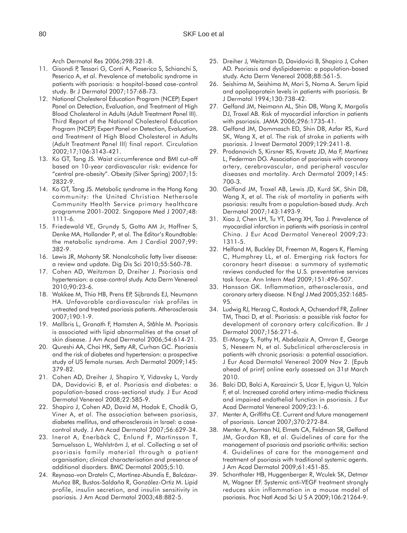Arch Dermatol Res 2006;298:321-8.

- 11. Gisondi P, Tessari G, Conti A, Piaserico S, Schianchi S, Peserico A, et al. Prevalence of metabolic syndrome in patients with psoriasis: a hospital-based case-control study. Br J Dermatol 2007;157:68-73.
- 12. National Cholesterol Education Program (NCEP) Expert Panel on Detection, Evaluation, and Treatment of High Blood Cholesterol in Adults (Adult Treatment Panel III). Third Report of the National Cholesterol Education Program (NCEP) Expert Panel on Detection, Evaluation, and Treatment of High Blood Cholesterol in Adults (Adult Treatment Panel III) final report. Circulation 2002;17;106:3143-421.
- 13. Ko GT, Tang JS. Waist circumference and BMI cut-off based on 10-year cardiovascular risk: evidence for "central pre-obesity". Obesity (Silver Spring) 2007;15: 2832-9.
- 14. Ko GT, Tang JS. Metabolic syndrome in the Hong Kong community: the United Christian Nethersole Community Health Service primary healthcare programme 2001-2002. Singapore Med J 2007;48: 1111-6.
- 15. Friedewald VE, Grundy S, Gotto AM Jr, Haffner S, Denke MA, Hollander P, et al. The Editor's Roundtable: the metabolic syndrome. Am J Cardiol 2007;99: 382-9.
- 16. Lewis JR, Mohanty SR. Nonalcoholic fatty liver disease: a review and update. Dig Dis Sci 2010;55:560-78.
- 17. Cohen AD, Weitzman D, Dreiher J. Psoriasis and hypertension: a case-control study. Acta Derm Venereol 2010;90:23-6.
- 18. Wakkee M, Thio HB, Prens EP, Sijbrands EJ, Neumann HA. Unfavorable cardiovascular risk profiles in untreated and treated psoriasis patients. Atherosclerosis 2007;190:1-9.
- 19. Mallbris L, Granath F, Hamsten A, Ståhle M. Psoriasis is associated with lipid abnormalities at the onset of skin disease. J Am Acad Dermatol 2006;54:614-21.
- 20. Qureshi AA, Choi HK, Setty AR, Curhan GC. Psoriasis and the risk of diabetes and hypertension: a prospective study of US female nurses. Arch Dermatol 2009;145: 379-82.
- 21. Cohen AD, Dreiher J, Shapiro Y, Vidavsky L, Vardy DA, Davidovici B, et al. Psoriasis and diabetes: a population-based cross-sectional study. J Eur Acad Dermatol Venereol 2008;22:585-9.
- 22. Shapiro J, Cohen AD, David M, Hodak E, Chodik G, Viner A, et al. The association between psoriasis, diabetes mellitus, and atherosclerosis in Israel: a casecontrol study. J Am Acad Dermatol 2007;56:629-34.
- 23. Inerot A, Enerbäck C, Enlund F, Martinsson T, Samuelsson L, Wahlström J, et al. Collecting a set of psoriasis family material through a patient organisation; clinical characterisation and presence of additional disorders. BMC Dermatol 2005;5:10.
- 24. Reynoso-von Drateln C, Martínez-Abundis E, Balcázar-Muñoz BR, Bustos-Saldaña R, González-Ortiz M. Lipid profile, insulin secretion, and insulin sensitivity in psoriasis. J Am Acad Dermatol 2003;48:882-5.
- 25. Dreiher J, Weitzman D, Davidovici B, Shapiro J, Cohen AD. Psoriasis and dyslipidaemia: a population-based study. Acta Derm Venereol 2008;88:561-5.
- 26. Seishima M, Seishima M, Mori S, Noma A. Serum lipid and apolipoprotein levels in patients with psoriasis. Br J Dermatol 1994;130:738-42.
- 27. Gelfand JM, Neimann AL, Shin DB, Wang X, Margolis DJ, Troxel AB. Risk of myocardial infarction in patients with psoriasis. JAMA 2006;296:1735-41.
- 28. Gelfand JM, Dommasch ED, Shin DB, Azfar RS, Kurd SK, Wang X, et al. The risk of stroke in patients with psoriasis. J Invest Dermatol 2009;129:2411-8.
- 29. Prodanovich S, Kirsner RS, Kravetz JD, Ma F, Martinez L, Federman DG. Association of psoriasis with coronary artery, cerebrovascular, and peripheral vascular diseases and mortality. Arch Dermatol 2009;145: 700-3.
- 30. Gelfand JM, Troxel AB, Lewis JD, Kurd SK, Shin DB, Wang X, et al. The risk of mortality in patients with psoriasis: results from a population-based study. Arch Dermatol 2007;143:1493-9.
- 31. Xiao J, Chen LH, Tu YT, Deng XH, Tao J. Prevalence of myocardial infarction in patients with psoriasis in central China. J Eur Acad Dermatol Venereol 2009;23: 1311-5.
- 32. Helfand M, Buckley DI, Freeman M, Rogers K, Fleming C, Humphrey LL, et al. Emerging risk factors for coronary heart disease: a summary of systematic reviews conducted for the U.S. preventative services task force. Ann Intern Med 2009;151:496-507.
- 33. Hansson GK. Inflammation, atherosclerosis, and coronary artery disease. N Engl J Med 2005;352:1685- 95.
- 34. Ludwig RJ, Herzog C, Rostock A, Ochsendorf FR, Zollner TM, Thaci D, et al. Psoriasis: a possible risk factor for development of coronary artery calcification. Br J Dermatol 2007;156:271-6.
- 35. El-Mongy S, Fathy H, Abdelaziz A, Omran E, George S, Neseem N, et al. Subclinical atherosclerosis in patients with chronic psoriasis: a potential association. J Eur Acad Dermatol Venereol 2009 Nov 2. [Epub ahead of print] online early assessed on 31st March 2010.
- 36. Balci DD, Balci A, Karazincir S, Ucar E, Iyigun U, Yalcin F, et al. Increased carotid artery intima-media thickness and impaired endothelial function in psoriasis. J Eur Acad Dermatol Venereol 2009;23:1-6.
- 37. Menter A, Griffiths CE. Current and future management of psoriasis. Lancet 2007;370:272-84.
- 38. Menter A, Korman NJ, Elmets CA, Feldman SR, Gelfand JM, Gordon KB, et al. Guidelines of care for the management of psoriasis and psoriatic arthritis: section 4. Guidelines of care for the management and treatment of psoriasis with traditional systemic agents. J Am Acad Dermatol 2009;61:451-85.
- 39. Schonthaler HB, Huggenberger R, Wculek SK, Detmar M, Wagner EF. Systemic anti-VEGF treatment strongly reduces skin inflammation in a mouse model of psoriasis. Proc Natl Acad Sci U S A 2009;106:21264-9.